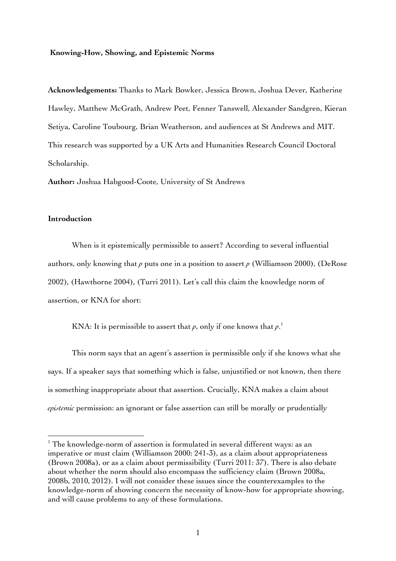#### **Knowing-How, Showing, and Epistemic Norms**

**Acknowledgements:** Thanks to Mark Bowker, Jessica Brown, Joshua Dever, Katherine Hawley, Matthew McGrath, Andrew Peet, Fenner Tanswell, Alexander Sandgren, Kieran Setiya, Caroline Toubourg, Brian Weatherson, and audiences at St Andrews and MIT. This research was supported by a UK Arts and Humanities Research Council Doctoral Scholarship.

**Author:** Joshua Habgood-Coote, University of St Andrews

#### **Introduction**

 $\overline{a}$ 

When is it epistemically permissible to assert? According to several influential authors, only knowing that *p* puts one in a position to assert *p* (Williamson 2000), (DeRose 2002), (Hawthorne 2004), (Turri 2011). Let's call this claim the knowledge norm of assertion, or KNA for short:

KNA: It is permissible to assert that  $\rho$ , only if one knows that  $\rho$ .<sup>1</sup>

This norm says that an agent's assertion is permissible only if she knows what she says. If a speaker says that something which is false, unjustified or not known, then there is something inappropriate about that assertion. Crucially, KNA makes a claim about *epistemic* permission: an ignorant or false assertion can still be morally or prudentially

 $1$  The knowledge-norm of assertion is formulated in several different ways: as an imperative or must claim (Williamson 2000: 241-3), as a claim about appropriateness (Brown 2008a), or as a claim about permissibility (Turri 2011: 37). There is also debate about whether the norm should also encompass the sufficiency claim (Brown 2008a, 2008b, 2010, 2012). I will not consider these issues since the counterexamples to the knowledge-norm of showing concern the necessity of know-how for appropriate showing, and will cause problems to any of these formulations.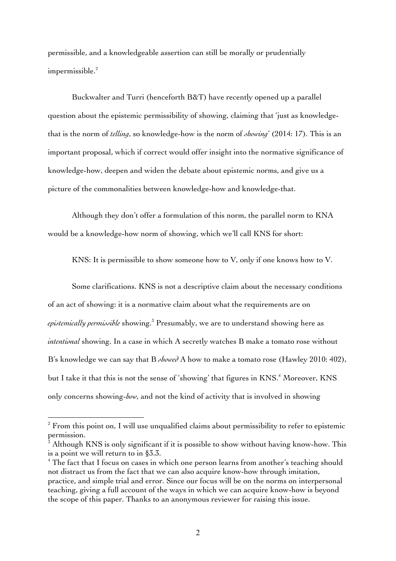permissible, and a knowledgeable assertion can still be morally or prudentially  $im \mathrm{permissible.}^2$ 

Buckwalter and Turri (henceforth B&T) have recently opened up a parallel question about the epistemic permissibility of showing, claiming that 'just as knowledgethat is the norm of *telling*, so knowledge-how is the norm of *showing*' (2014: 17). This is an important proposal, which if correct would offer insight into the normative significance of knowledge-how, deepen and widen the debate about epistemic norms, and give us a picture of the commonalities between knowledge-how and knowledge-that.

Although they don't offer a formulation of this norm, the parallel norm to KNA would be a knowledge-how norm of showing, which we'll call KNS for short:

KNS: It is permissible to show someone how to V, only if one knows how to V.

Some clarifications. KNS is not a descriptive claim about the necessary conditions of an act of showing: it is a normative claim about what the requirements are on *epistemically permissible* showing.<sup>3</sup> Presumably, we are to understand showing here as *intentional* showing. In a case in which A secretly watches B make a tomato rose without B's knowledge we can say that B *showed* A how to make a tomato rose (Hawley 2010: 402), but I take it that this is not the sense of 'showing' that figures in KNS.<sup>4</sup> Moreover, KNS only concerns showing-*how,* and not the kind of activity that is involved in showing

<sup>&</sup>lt;sup>2</sup> From this point on, I will use unqualified claims about permissibility to refer to epistemic permission.

<sup>3</sup> Although KNS is only significant if it is possible to show without having know-how. This is a point we will return to in §3.3.

<sup>&</sup>lt;sup>4</sup> The fact that I focus on cases in which one person learns from another's teaching should not distract us from the fact that we can also acquire know-how through imitation, practice, and simple trial and error. Since our focus will be on the norms on interpersonal teaching, giving a full account of the ways in which we can acquire know-how is beyond the scope of this paper. Thanks to an anonymous reviewer for raising this issue.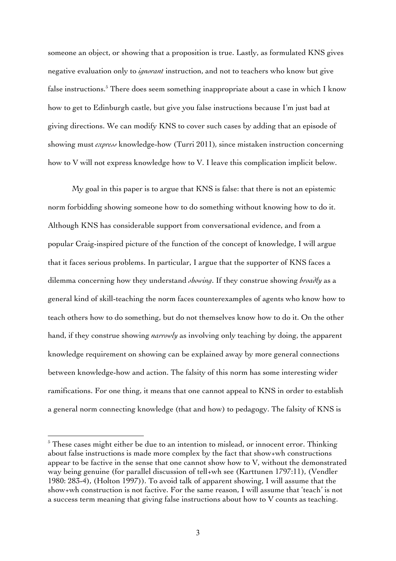someone an object, or showing that a proposition is true. Lastly, as formulated KNS gives negative evaluation only to *ignorant* instruction, and not to teachers who know but give false instructions.<sup>5</sup> There does seem something inappropriate about a case in which I know how to get to Edinburgh castle, but give you false instructions because I'm just bad at giving directions. We can modify KNS to cover such cases by adding that an episode of showing must *express* knowledge-how (Turri 2011)*,* since mistaken instruction concerning how to V will not express knowledge how to V. I leave this complication implicit below.

My goal in this paper is to argue that KNS is false: that there is not an epistemic norm forbidding showing someone how to do something without knowing how to do it. Although KNS has considerable support from conversational evidence, and from a popular Craig-inspired picture of the function of the concept of knowledge, I will argue that it faces serious problems. In particular, I argue that the supporter of KNS faces a dilemma concerning how they understand *showing*. If they construe showing *broadly* as a general kind of skill-teaching the norm faces counterexamples of agents who know how to teach others how to do something, but do not themselves know how to do it. On the other hand, if they construe showing *narrowly* as involving only teaching by doing, the apparent knowledge requirement on showing can be explained away by more general connections between knowledge-how and action. The falsity of this norm has some interesting wider ramifications. For one thing, it means that one cannot appeal to KNS in order to establish a general norm connecting knowledge (that and how) to pedagogy. The falsity of KNS is

 $5$  These cases might either be due to an intention to mislead, or innocent error. Thinking about false instructions is made more complex by the fact that show+wh constructions appear to be factive in the sense that one cannot show how to V, without the demonstrated way being genuine (for parallel discussion of tell+wh see (Karttunen 1797:11), (Vendler 1980: 283-4), (Holton 1997)). To avoid talk of apparent showing, I will assume that the show+wh construction is not factive. For the same reason, I will assume that 'teach' is not a success term meaning that giving false instructions about how to V counts as teaching.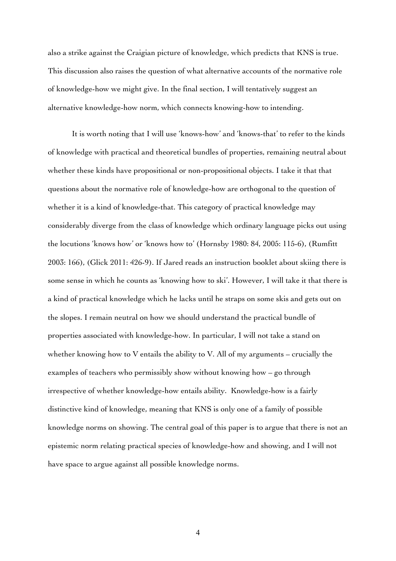also a strike against the Craigian picture of knowledge, which predicts that KNS is true. This discussion also raises the question of what alternative accounts of the normative role of knowledge-how we might give. In the final section, I will tentatively suggest an alternative knowledge-how norm, which connects knowing-how to intending.

It is worth noting that I will use 'knows-how' and 'knows-that' to refer to the kinds of knowledge with practical and theoretical bundles of properties, remaining neutral about whether these kinds have propositional or non-propositional objects. I take it that that questions about the normative role of knowledge-how are orthogonal to the question of whether it is a kind of knowledge-that. This category of practical knowledge may considerably diverge from the class of knowledge which ordinary language picks out using the locutions 'knows how' or 'knows how to' (Hornsby 1980: 84, 2005: 115-6), (Rumfitt 2003: 166), (Glick 2011: 426-9). If Jared reads an instruction booklet about skiing there is some sense in which he counts as 'knowing how to ski'. However, I will take it that there is a kind of practical knowledge which he lacks until he straps on some skis and gets out on the slopes. I remain neutral on how we should understand the practical bundle of properties associated with knowledge-how. In particular, I will not take a stand on whether knowing how to V entails the ability to V. All of my arguments – crucially the examples of teachers who permissibly show without knowing how – go through irrespective of whether knowledge-how entails ability. Knowledge-how is a fairly distinctive kind of knowledge, meaning that KNS is only one of a family of possible knowledge norms on showing. The central goal of this paper is to argue that there is not an epistemic norm relating practical species of knowledge-how and showing, and I will not have space to argue against all possible knowledge norms.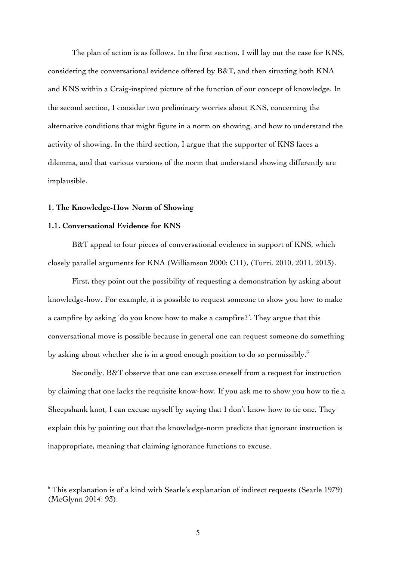The plan of action is as follows. In the first section, I will lay out the case for KNS, considering the conversational evidence offered by B&T, and then situating both KNA and KNS within a Craig-inspired picture of the function of our concept of knowledge. In the second section, I consider two preliminary worries about KNS, concerning the alternative conditions that might figure in a norm on showing, and how to understand the activity of showing. In the third section, I argue that the supporter of KNS faces a dilemma, and that various versions of the norm that understand showing differently are implausible.

#### **1. The Knowledge-How Norm of Showing**

#### **1.1. Conversational Evidence for KNS**

 $\overline{a}$ 

B&T appeal to four pieces of conversational evidence in support of KNS, which closely parallel arguments for KNA (Williamson 2000: C11), (Turri, 2010, 2011, 2013).

First, they point out the possibility of requesting a demonstration by asking about knowledge-how. For example, it is possible to request someone to show you how to make a campfire by asking 'do you know how to make a campfire?'. They argue that this conversational move is possible because in general one can request someone do something by asking about whether she is in a good enough position to do so permissibly.  $\rm ^6$ 

Secondly, B&T observe that one can excuse oneself from a request for instruction by claiming that one lacks the requisite know-how. If you ask me to show you how to tie a Sheepshank knot, I can excuse myself by saying that I don't know how to tie one. They explain this by pointing out that the knowledge-norm predicts that ignorant instruction is inappropriate, meaning that claiming ignorance functions to excuse.

 $6$  This explanation is of a kind with Searle's explanation of indirect requests (Searle 1979) (McGlynn 2014: 93).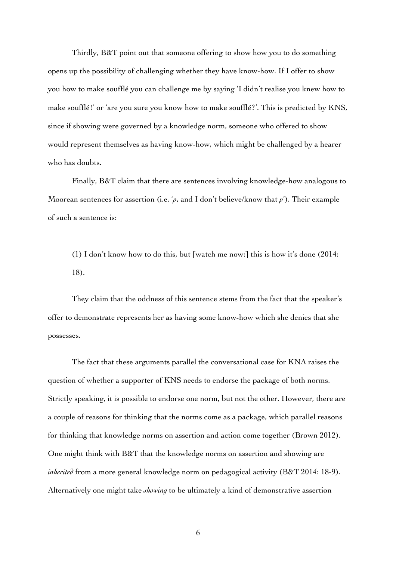Thirdly, B&T point out that someone offering to show how you to do something opens up the possibility of challenging whether they have know-how. If I offer to show you how to make soufflé you can challenge me by saying 'I didn't realise you knew how to make soufflé!' or 'are you sure you know how to make soufflé?'. This is predicted by KNS, since if showing were governed by a knowledge norm, someone who offered to show would represent themselves as having know-how, which might be challenged by a hearer who has doubts.

Finally, B&T claim that there are sentences involving knowledge-how analogous to Moorean sentences for assertion (i.e. '*p*, and I don't believe/know that *p*'). Their example of such a sentence is:

(1) I don't know how to do this, but [watch me now:] this is how it's done (2014: 18).

They claim that the oddness of this sentence stems from the fact that the speaker's offer to demonstrate represents her as having some know-how which she denies that she possesses.

The fact that these arguments parallel the conversational case for KNA raises the question of whether a supporter of KNS needs to endorse the package of both norms. Strictly speaking, it is possible to endorse one norm, but not the other. However, there are a couple of reasons for thinking that the norms come as a package, which parallel reasons for thinking that knowledge norms on assertion and action come together (Brown 2012). One might think with B&T that the knowledge norms on assertion and showing are *inherited* from a more general knowledge norm on pedagogical activity (B&T 2014: 18-9). Alternatively one might take *showing* to be ultimately a kind of demonstrative assertion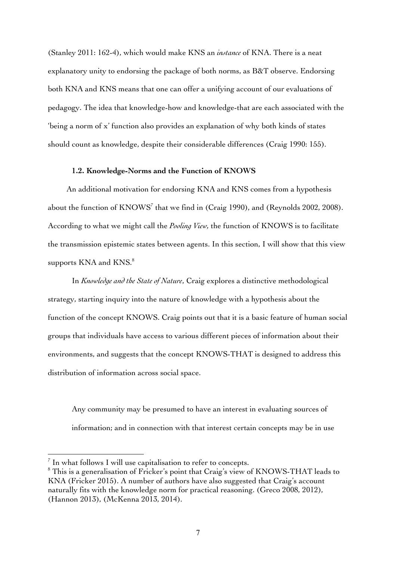(Stanley 2011: 162-4), which would make KNS an *instance* of KNA. There is a neat explanatory unity to endorsing the package of both norms, as B&T observe. Endorsing both KNA and KNS means that one can offer a unifying account of our evaluations of pedagogy. The idea that knowledge-how and knowledge-that are each associated with the 'being a norm of x' function also provides an explanation of why both kinds of states should count as knowledge, despite their considerable differences (Craig 1990: 155).

## **1.2. Knowledge-Norms and the Function of KNOWS**

An additional motivation for endorsing KNA and KNS comes from a hypothesis about the function of  $KNOWS<sup>7</sup>$  that we find in (Craig 1990), and (Reynolds 2002, 2008). According to what we might call the *Pooling View,* the function of KNOWS is to facilitate the transmission epistemic states between agents. In this section, I will show that this view supports KNA and KNS.<sup>8</sup>

In *Knowledge and the State of Nature*, Craig explores a distinctive methodological strategy, starting inquiry into the nature of knowledge with a hypothesis about the function of the concept KNOWS. Craig points out that it is a basic feature of human social groups that individuals have access to various different pieces of information about their environments, and suggests that the concept KNOWS-THAT is designed to address this distribution of information across social space.

Any community may be presumed to have an interest in evaluating sources of information; and in connection with that interest certain concepts may be in use

 $\frac{7}{1}$  In what follows I will use capitalisation to refer to concepts.

<sup>&</sup>lt;sup>8</sup> This is a generalisation of Fricker's point that Craig's view of KNOWS-THAT leads to KNA (Fricker 2015). A number of authors have also suggested that Craig's account naturally fits with the knowledge norm for practical reasoning. (Greco 2008, 2012), (Hannon 2013), (McKenna 2013, 2014).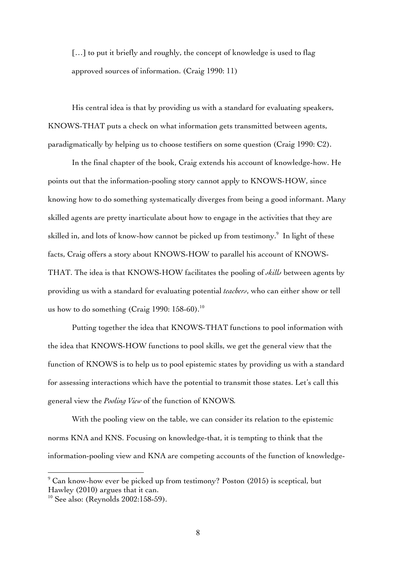[...] to put it briefly and roughly, the concept of knowledge is used to flag approved sources of information. (Craig 1990: 11)

His central idea is that by providing us with a standard for evaluating speakers, KNOWS-THAT puts a check on what information gets transmitted between agents, paradigmatically by helping us to choose testifiers on some question (Craig 1990: C2).

In the final chapter of the book, Craig extends his account of knowledge-how. He points out that the information-pooling story cannot apply to KNOWS-HOW, since knowing how to do something systematically diverges from being a good informant. Many skilled agents are pretty inarticulate about how to engage in the activities that they are skilled in, and lots of know-how cannot be picked up from testimony.<sup>9</sup> In light of these facts, Craig offers a story about KNOWS-HOW to parallel his account of KNOWS-THAT. The idea is that KNOWS-HOW facilitates the pooling of *skills* between agents by providing us with a standard for evaluating potential *teachers*, who can either show or tell us how to do something (Craig 1990: 158-60).<sup>10</sup>

Putting together the idea that KNOWS-THAT functions to pool information with the idea that KNOWS-HOW functions to pool skills, we get the general view that the function of KNOWS is to help us to pool epistemic states by providing us with a standard for assessing interactions which have the potential to transmit those states. Let's call this general view the *Pooling View* of the function of KNOWS*.*

With the pooling view on the table, we can consider its relation to the epistemic norms KNA and KNS. Focusing on knowledge-that, it is tempting to think that the information-pooling view and KNA are competing accounts of the function of knowledge-

 $9$  Can know-how ever be picked up from testimony? Poston (2015) is sceptical, but Hawley (2010) argues that it can.

<sup>&</sup>lt;sup>10</sup> See also: (Reynolds 2002:158-59).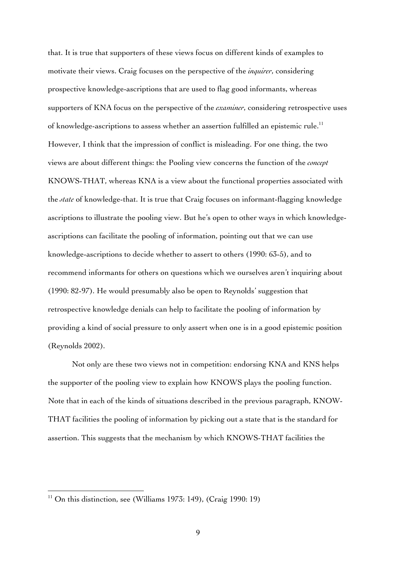that. It is true that supporters of these views focus on different kinds of examples to motivate their views. Craig focuses on the perspective of the *inquirer*, considering prospective knowledge-ascriptions that are used to flag good informants, whereas supporters of KNA focus on the perspective of the *examiner*, considering retrospective uses of knowledge-ascriptions to assess whether an assertion fulfilled an epistemic rule.<sup>11</sup> However, I think that the impression of conflict is misleading. For one thing, the two views are about different things: the Pooling view concerns the function of the *concept* KNOWS-THAT, whereas KNA is a view about the functional properties associated with the *state* of knowledge-that. It is true that Craig focuses on informant-flagging knowledge ascriptions to illustrate the pooling view. But he's open to other ways in which knowledgeascriptions can facilitate the pooling of information, pointing out that we can use knowledge-ascriptions to decide whether to assert to others (1990: 63-5), and to recommend informants for others on questions which we ourselves aren't inquiring about (1990: 82-97). He would presumably also be open to Reynolds' suggestion that retrospective knowledge denials can help to facilitate the pooling of information by providing a kind of social pressure to only assert when one is in a good epistemic position (Reynolds 2002).

Not only are these two views not in competition: endorsing KNA and KNS helps the supporter of the pooling view to explain how KNOWS plays the pooling function. Note that in each of the kinds of situations described in the previous paragraph, KNOW-THAT facilities the pooling of information by picking out a state that is the standard for assertion. This suggests that the mechanism by which KNOWS-THAT facilities the

<sup>&</sup>lt;sup>11</sup> On this distinction, see (Williams 1973: 149), (Craig 1990: 19)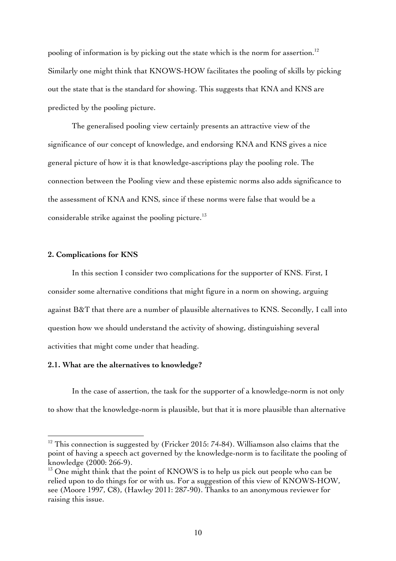pooling of information is by picking out the state which is the norm for assertion.<sup>12</sup> Similarly one might think that KNOWS-HOW facilitates the pooling of skills by picking out the state that is the standard for showing. This suggests that KNA and KNS are predicted by the pooling picture.

The generalised pooling view certainly presents an attractive view of the significance of our concept of knowledge, and endorsing KNA and KNS gives a nice general picture of how it is that knowledge-ascriptions play the pooling role. The connection between the Pooling view and these epistemic norms also adds significance to the assessment of KNA and KNS, since if these norms were false that would be a considerable strike against the pooling picture.<sup>13</sup>

# **2. Complications for KNS**

 $\overline{a}$ 

In this section I consider two complications for the supporter of KNS. First, I consider some alternative conditions that might figure in a norm on showing, arguing against B&T that there are a number of plausible alternatives to KNS. Secondly, I call into question how we should understand the activity of showing, distinguishing several activities that might come under that heading.

## **2.1. What are the alternatives to knowledge?**

In the case of assertion, the task for the supporter of a knowledge-norm is not only to show that the knowledge-norm is plausible, but that it is more plausible than alternative

 $12$  This connection is suggested by (Fricker 2015: 74-84). Williamson also claims that the point of having a speech act governed by the knowledge-norm is to facilitate the pooling of knowledge (2000: 266-9).

 $13$  One might think that the point of KNOWS is to help us pick out people who can be relied upon to do things for or with us. For a suggestion of this view of KNOWS-HOW, see (Moore 1997, C8), (Hawley 2011: 287-90). Thanks to an anonymous reviewer for raising this issue.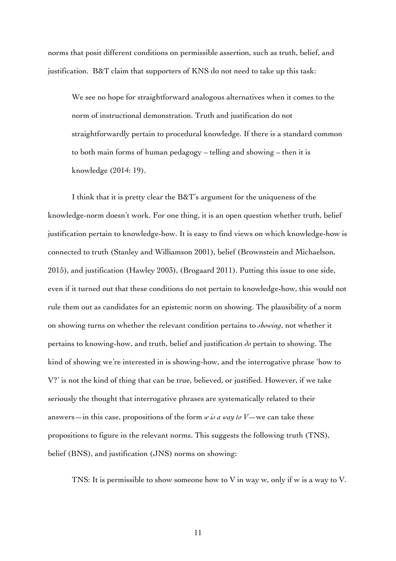norms that posit different conditions on permissible assertion, such as truth, belief, and justification. B&T claim that supporters of KNS do not need to take up this task:

We see no hope for straightforward analogous alternatives when it comes to the norm of instructional demonstration. Truth and justification do not straightforwardly pertain to procedural knowledge. If there is a standard common to both main forms of human pedagogy – telling and showing – then it is knowledge (2014: 19).

I think that it is pretty clear the B&T's argument for the uniqueness of the knowledge-norm doesn't work. For one thing, it is an open question whether truth, belief justification pertain to knowledge-how. It is easy to find views on which knowledge-how is connected to truth (Stanley and Williamson 2001), belief (Brownstein and Michaelson, 2015), and justification (Hawley 2003), (Brogaard 2011). Putting this issue to one side, even if it turned out that these conditions do not pertain to knowledge-how, this would not rule them out as candidates for an epistemic norm on showing. The plausibility of a norm on showing turns on whether the relevant condition pertains to *showing*, not whether it pertains to knowing-how, and truth, belief and justification *do* pertain to showing. The kind of showing we're interested in is showing-how, and the interrogative phrase 'how to V?' is not the kind of thing that can be true, believed, or justified. However, if we take seriously the thought that interrogative phrases are systematically related to their answers—in this case, propositions of the form  $\omega$  *is a way to*  $V$ —we can take these propositions to figure in the relevant norms. This suggests the following truth (TNS), belief (BNS), and justification (JNS) norms on showing:

TNS: It is permissible to show someone how to V in way w, only if w is a way to V.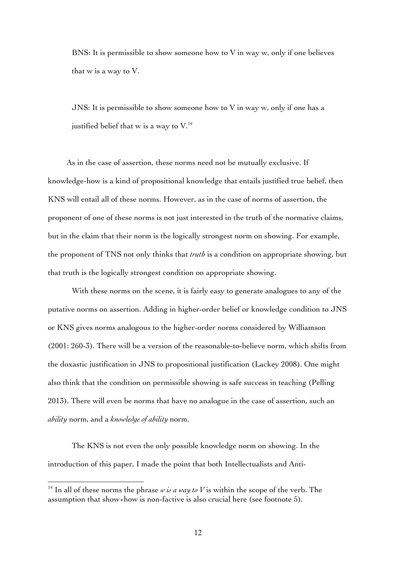BNS: It is permissible to show someone how to V in way w, only if one believes that w is a way to V.

JNS: It is permissible to show someone how to V in way w, only if one has a justified belief that w is a way to  $V<sup>14</sup>$ .

As in the case of assertion, these norms need not be mutually exclusive. If knowledge-how is a kind of propositional knowledge that entails justified true belief, then KNS will entail all of these norms. However, as in the case of norms of assertion, the proponent of one of these norms is not just interested in the truth of the normative claims, but in the claim that their norm is the logically strongest norm on showing. For example, the proponent of TNS not only thinks that *truth* is a condition on appropriate showing, but that truth is the logically strongest condition on appropriate showing.

With these norms on the scene, it is fairly easy to generate analogues to any of the putative norms on assertion. Adding in higher-order belief or knowledge condition to JNS or KNS gives norms analogous to the higher-order norms considered by Williamson (2001: 260-3). There will be a version of the reasonable-to-believe norm, which shifts from the doxastic justification in JNS to propositional justification (Lackey 2008). One might also think that the condition on permissible showing is safe success in teaching (Pelling 2013). There will even be norms that have no analogue in the case of assertion, such an *ability* norm, and a *knowledge of ability* norm.

The KNS is not even the only possible knowledge norm on showing. In the introduction of this paper, I made the point that both Intellectualists and Anti-

<sup>&</sup>lt;sup>14</sup> In all of these norms the phrase  $\omega$  *is a way to V* is within the scope of the verb. The assumption that show+how is non-factive is also crucial here (see footnote 5).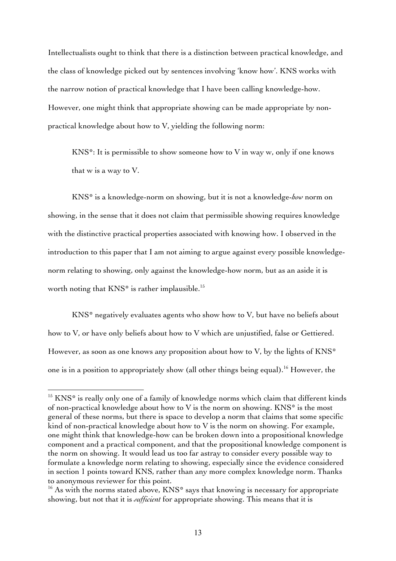Intellectualists ought to think that there is a distinction between practical knowledge, and the class of knowledge picked out by sentences involving 'know how'. KNS works with the narrow notion of practical knowledge that I have been calling knowledge-how. However, one might think that appropriate showing can be made appropriate by nonpractical knowledge about how to V, yielding the following norm:

KNS\*: It is permissible to show someone how to V in way w, only if one knows that w is a way to V.

KNS\* is a knowledge-norm on showing, but it is not a knowledge-*how* norm on showing, in the sense that it does not claim that permissible showing requires knowledge with the distinctive practical properties associated with knowing how. I observed in the introduction to this paper that I am not aiming to argue against every possible knowledgenorm relating to showing, only against the knowledge-how norm, but as an aside it is worth noting that KNS\* is rather implausible.<sup>15</sup>

KNS\* negatively evaluates agents who show how to V, but have no beliefs about how to V, or have only beliefs about how to V which are unjustified, false or Gettiered. However, as soon as one knows any proposition about how to V, by the lights of KNS\* one is in a position to appropriately show (all other things being equal). <sup>16</sup> However, the

<sup>&</sup>lt;sup>15</sup> KNS<sup>\*</sup> is really only one of a family of knowledge norms which claim that different kinds of non-practical knowledge about how to V is the norm on showing.  $KNS^*$  is the most general of these norms, but there is space to develop a norm that claims that some specific kind of non-practical knowledge about how to V is the norm on showing. For example, one might think that knowledge-how can be broken down into a propositional knowledge component and a practical component, and that the propositional knowledge component is the norm on showing. It would lead us too far astray to consider every possible way to formulate a knowledge norm relating to showing, especially since the evidence considered in section 1 points toward KNS, rather than any more complex knowledge norm. Thanks to anonymous reviewer for this point.

 $16$  As with the norms stated above, KNS\* says that knowing is necessary for appropriate showing, but not that it is *sufficient* for appropriate showing. This means that it is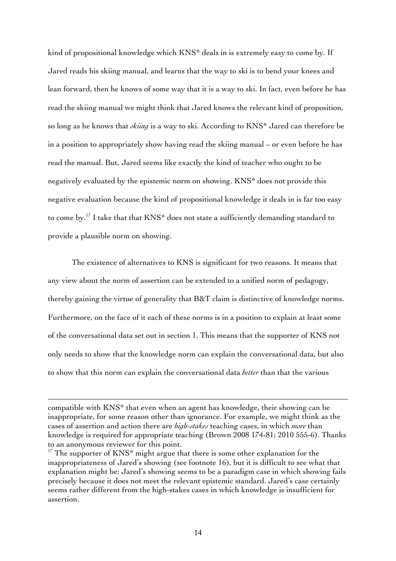kind of propositional knowledge which KNS\* deals in is extremely easy to come by. If Jared reads his skiing manual, and learns that the way to ski is to bend your knees and lean forward, then he knows of some way that it is a way to ski. In fact, even before he has read the skiing manual we might think that Jared knows the relevant kind of proposition, so long as he knows that *skiing* is a way to ski. According to KNS\* Jared can therefore be in a position to appropriately show having read the skiing manual – or even before he has read the manual. But, Jared seems like exactly the kind of teacher who ought to be negatively evaluated by the epistemic norm on showing. KNS\* does not provide this negative evaluation because the kind of propositional knowledge it deals in is far too easy to come by.17 I take that that KNS\* does not state a sufficiently demanding standard to provide a plausible norm on showing.

The existence of alternatives to KNS is significant for two reasons. It means that any view about the norm of assertion can be extended to a unified norm of pedagogy, thereby gaining the virtue of generality that B&T claim is distinctive of knowledge norms. Furthermore, on the face of it each of these norms is in a position to explain at least some of the conversational data set out in section 1. This means that the supporter of KNS not only needs to show that the knowledge norm can explain the conversational data, but also to show that this norm can explain the conversational data *better* than that the various

compatible with KNS\* that even when an agent has knowledge, their showing can be inappropriate, for some reason other than ignorance. For example, we might think as the cases of assertion and action there are *high-stakes* teaching cases, in which *more* than knowledge is required for appropriate teaching (Brown 2008 174-81; 2010 555-6). Thanks to an anonymous reviewer for this point.

 $17$  The supporter of KNS\* might argue that there is some other explanation for the inappropriateness of Jared's showing (see footnote 16), but it is difficult to see what that explanation might be: Jared's showing seems to be a paradigm case in which showing fails precisely because it does not meet the relevant epistemic standard. Jared's case certainly seems rather different from the high-stakes cases in which knowledge is insufficient for assertion.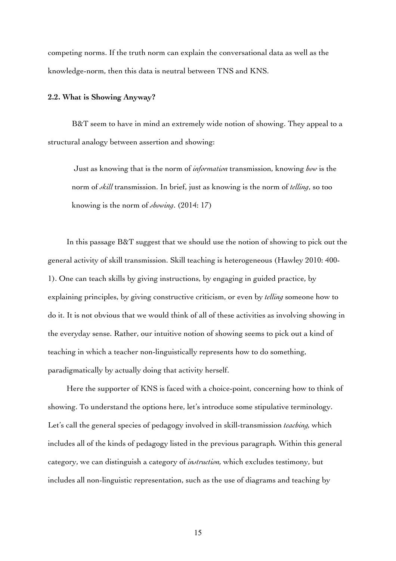competing norms. If the truth norm can explain the conversational data as well as the knowledge-norm, then this data is neutral between TNS and KNS.

#### **2.2. What is Showing Anyway?**

B&T seem to have in mind an extremely wide notion of showing. They appeal to a structural analogy between assertion and showing:

Just as knowing that is the norm of *information* transmission, knowing *how* is the norm of *skill* transmission. In brief, just as knowing is the norm of *telling*, so too knowing is the norm of *showing*. (2014: 17)

In this passage B&T suggest that we should use the notion of showing to pick out the general activity of skill transmission. Skill teaching is heterogeneous (Hawley 2010: 400- 1). One can teach skills by giving instructions, by engaging in guided practice, by explaining principles, by giving constructive criticism, or even by *telling* someone how to do it. It is not obvious that we would think of all of these activities as involving showing in the everyday sense. Rather, our intuitive notion of showing seems to pick out a kind of teaching in which a teacher non-linguistically represents how to do something, paradigmatically by actually doing that activity herself.

Here the supporter of KNS is faced with a choice-point, concerning how to think of showing. To understand the options here, let's introduce some stipulative terminology. Let's call the general species of pedagogy involved in skill-transmission *teaching,* which includes all of the kinds of pedagogy listed in the previous paragraph*.* Within this general category, we can distinguish a category of *instruction,* which excludes testimony, but includes all non-linguistic representation, such as the use of diagrams and teaching by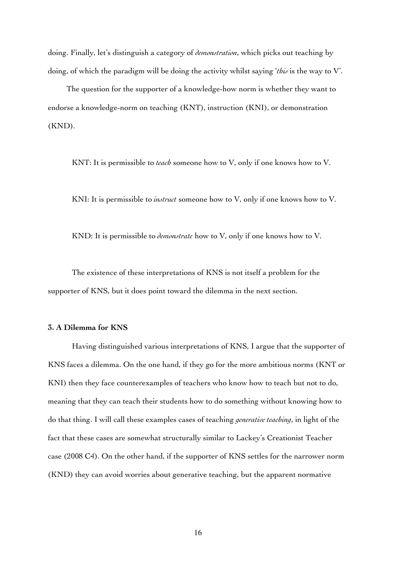doing. Finally, let's distinguish a category of *demonstration*, which picks out teaching by doing, of which the paradigm will be doing the activity whilst saying '*this* is the way to V'.

The question for the supporter of a knowledge-how norm is whether they want to endorse a knowledge-norm on teaching (KNT), instruction (KNI), or demonstration (KND).

KNT: It is permissible to *teach* someone how to V, only if one knows how to V.

KNI: It is permissible to *instruct* someone how to V, only if one knows how to V.

KND: It is permissible to *demonstrate* how to V, only if one knows how to V.

The existence of these interpretations of KNS is not itself a problem for the supporter of KNS, but it does point toward the dilemma in the next section.

# **3. A Dilemma for KNS**

Having distinguished various interpretations of KNS, I argue that the supporter of KNS faces a dilemma. On the one hand, if they go for the more ambitious norms (KNT or KNI) then they face counterexamples of teachers who know how to teach but not to do, meaning that they can teach their students how to do something without knowing how to do that thing. I will call these examples cases of teaching *generative teaching*, in light of the fact that these cases are somewhat structurally similar to Lackey's Creationist Teacher case (2008 C4). On the other hand, if the supporter of KNS settles for the narrower norm (KND) they can avoid worries about generative teaching, but the apparent normative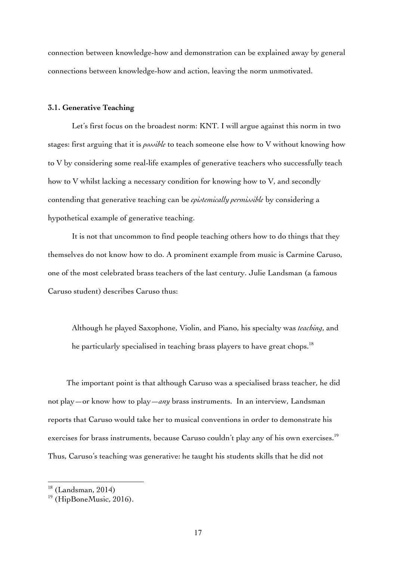connection between knowledge-how and demonstration can be explained away by general connections between knowledge-how and action, leaving the norm unmotivated.

## **3.1. Generative Teaching**

Let's first focus on the broadest norm: KNT. I will argue against this norm in two stages: first arguing that it is *possible* to teach someone else how to V without knowing how to V by considering some real-life examples of generative teachers who successfully teach how to V whilst lacking a necessary condition for knowing how to V, and secondly contending that generative teaching can be *epistemically permissible* by considering a hypothetical example of generative teaching.

It is not that uncommon to find people teaching others how to do things that they themselves do not know how to do. A prominent example from music is Carmine Caruso, one of the most celebrated brass teachers of the last century. Julie Landsman (a famous Caruso student) describes Caruso thus:

Although he played Saxophone, Violin, and Piano, his specialty was *teaching*, and he particularly specialised in teaching brass players to have great chops.<sup>18</sup>

The important point is that although Caruso was a specialised brass teacher, he did not play—or know how to play—*any* brass instruments. In an interview, Landsman reports that Caruso would take her to musical conventions in order to demonstrate his exercises for brass instruments, because Caruso couldn't play any of his own exercises.<sup>19</sup> Thus, Caruso's teaching was generative: he taught his students skills that he did not

 $18$  (Landsman, 2014)

<sup>&</sup>lt;sup>19</sup> (HipBoneMusic, 2016).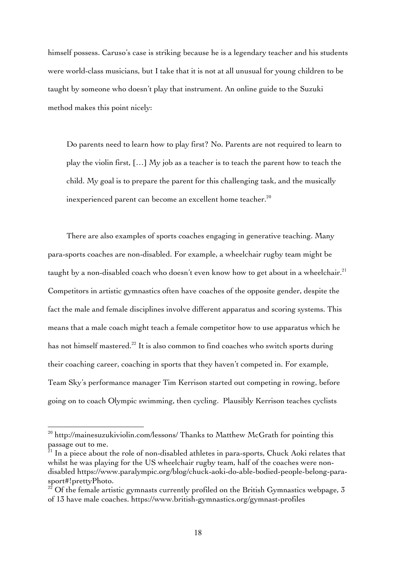himself possess. Caruso's case is striking because he is a legendary teacher and his students were world-class musicians, but I take that it is not at all unusual for young children to be taught by someone who doesn't play that instrument. An online guide to the Suzuki method makes this point nicely:

Do parents need to learn how to play first? No. Parents are not required to learn to play the violin first, […] My job as a teacher is to teach the parent how to teach the child. My goal is to prepare the parent for this challenging task, and the musically inexperienced parent can become an excellent home teacher.<sup>20</sup>

There are also examples of sports coaches engaging in generative teaching. Many para-sports coaches are non-disabled. For example, a wheelchair rugby team might be taught by a non-disabled coach who doesn't even know how to get about in a wheelchair. $21$ Competitors in artistic gymnastics often have coaches of the opposite gender, despite the fact the male and female disciplines involve different apparatus and scoring systems. This means that a male coach might teach a female competitor how to use apparatus which he has not himself mastered.<sup>22</sup> It is also common to find coaches who switch sports during their coaching career, coaching in sports that they haven't competed in. For example, Team Sky's performance manager Tim Kerrison started out competing in rowing, before going on to coach Olympic swimming, then cycling. Plausibly Kerrison teaches cyclists

 $^{20}$  http://mainesuzukiviolin.com/lessons/ Thanks to Matthew McGrath for pointing this passage out to me.

 $^{21}$  In a piece about the role of non-disabled athletes in para-sports, Chuck Aoki relates that whilst he was playing for the US wheelchair rugby team, half of the coaches were nondisabled https://www.paralympic.org/blog/chuck-aoki-do-able-bodied-people-belong-parasport#!prettyPhoto.

 $^{22}$  Of the female artistic gymnasts currently profiled on the British Gymnastics webpage, 3 of 13 have male coaches. https://www.british-gymnastics.org/gymnast-profiles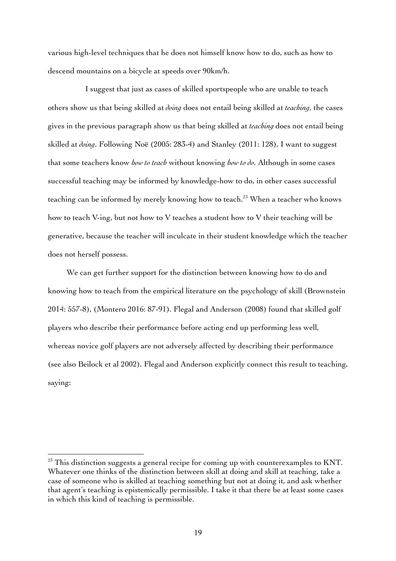various high-level techniques that he does not himself know how to do, such as how to descend mountains on a bicycle at speeds over 90km/h.

I suggest that just as cases of skilled sportspeople who are unable to teach others show us that being skilled at *doing* does not entail being skilled at *teaching*, the cases gives in the previous paragraph show us that being skilled at *teaching* does not entail being skilled at *doing*. Following Noë (2005: 283-4) and Stanley (2011: 128), I want to suggest that some teachers know *how to teach* without knowing *how to do*. Although in some cases successful teaching may be informed by knowledge-how to do, in other cases successful teaching can be informed by merely knowing how to teach.<sup>23</sup> When a teacher who knows how to teach V-ing, but not how to V teaches a student how to V their teaching will be generative, because the teacher will inculcate in their student knowledge which the teacher does not herself possess.

We can get further support for the distinction between knowing how to do and knowing how to teach from the empirical literature on the psychology of skill (Brownstein 2014: 557-8), (Montero 2016: 87-91). Flegal and Anderson (2008) found that skilled golf players who describe their performance before acting end up performing less well, whereas novice golf players are not adversely affected by describing their performance (see also Beilock et al 2002). Flegal and Anderson explicitly connect this result to teaching, saying:

 $23$  This distinction suggests a general recipe for coming up with counterexamples to KNT. Whatever one thinks of the distinction between skill at doing and skill at teaching, take a case of someone who is skilled at teaching something but not at doing it, and ask whether that agent's teaching is epistemically permissible. I take it that there be at least some cases in which this kind of teaching is permissible.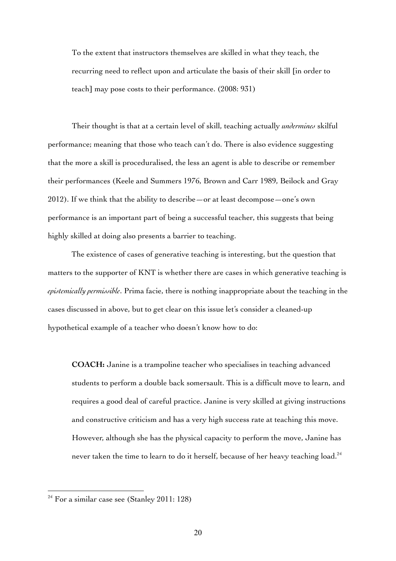To the extent that instructors themselves are skilled in what they teach, the recurring need to reflect upon and articulate the basis of their skill [in order to teach] may pose costs to their performance. (2008: 931)

Their thought is that at a certain level of skill, teaching actually *undermines* skilful performance; meaning that those who teach can't do. There is also evidence suggesting that the more a skill is proceduralised, the less an agent is able to describe or remember their performances (Keele and Summers 1976, Brown and Carr 1989, Beilock and Gray 2012). If we think that the ability to describe—or at least decompose—one's own performance is an important part of being a successful teacher, this suggests that being highly skilled at doing also presents a barrier to teaching.

The existence of cases of generative teaching is interesting, but the question that matters to the supporter of KNT is whether there are cases in which generative teaching is *epistemically permissible*. Prima facie, there is nothing inappropriate about the teaching in the cases discussed in above, but to get clear on this issue let's consider a cleaned-up hypothetical example of a teacher who doesn't know how to do:

**COACH:** Janine is a trampoline teacher who specialises in teaching advanced students to perform a double back somersault. This is a difficult move to learn, and requires a good deal of careful practice. Janine is very skilled at giving instructions and constructive criticism and has a very high success rate at teaching this move. However, although she has the physical capacity to perform the move, Janine has never taken the time to learn to do it herself, because of her heavy teaching load.<sup>24</sup>

 $24$  For a similar case see (Stanley 2011: 128)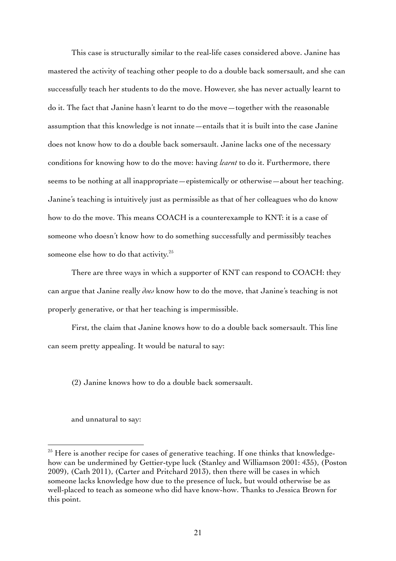This case is structurally similar to the real-life cases considered above. Janine has mastered the activity of teaching other people to do a double back somersault, and she can successfully teach her students to do the move. However, she has never actually learnt to do it. The fact that Janine hasn't learnt to do the move—together with the reasonable assumption that this knowledge is not innate—entails that it is built into the case Janine does not know how to do a double back somersault. Janine lacks one of the necessary conditions for knowing how to do the move: having *learnt* to do it. Furthermore, there seems to be nothing at all inappropriate—epistemically or otherwise—about her teaching. Janine's teaching is intuitively just as permissible as that of her colleagues who do know how to do the move. This means COACH is a counterexample to KNT: it is a case of someone who doesn't know how to do something successfully and permissibly teaches someone else how to do that activity.<sup>25</sup>

There are three ways in which a supporter of KNT can respond to COACH: they can argue that Janine really *does* know how to do the move, that Janine's teaching is not properly generative, or that her teaching is impermissible.

First, the claim that Janine knows how to do a double back somersault. This line can seem pretty appealing. It would be natural to say:

(2) Janine knows how to do a double back somersault.

and unnatural to say:

 $25$  Here is another recipe for cases of generative teaching. If one thinks that knowledgehow can be undermined by Gettier-type luck (Stanley and Williamson 2001: 435), (Poston 2009), (Cath 2011), (Carter and Pritchard 2013), then there will be cases in which someone lacks knowledge how due to the presence of luck, but would otherwise be as well-placed to teach as someone who did have know-how. Thanks to Jessica Brown for this point.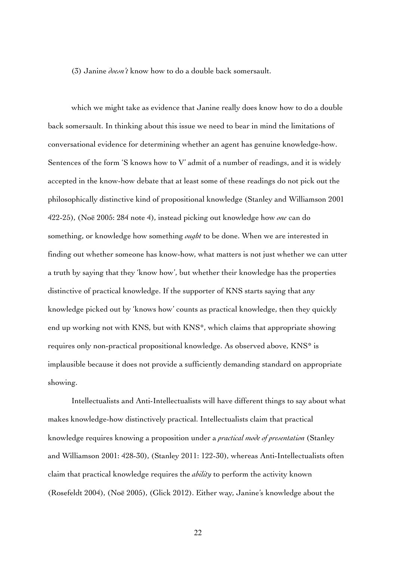(3) Janine *doesn't* know how to do a double back somersault.

which we might take as evidence that Janine really does know how to do a double back somersault. In thinking about this issue we need to bear in mind the limitations of conversational evidence for determining whether an agent has genuine knowledge-how. Sentences of the form 'S knows how to V' admit of a number of readings, and it is widely accepted in the know-how debate that at least some of these readings do not pick out the philosophically distinctive kind of propositional knowledge (Stanley and Williamson 2001 422-25), (Noë 2005: 284 note 4), instead picking out knowledge how *one* can do something, or knowledge how something *ought* to be done. When we are interested in finding out whether someone has know-how, what matters is not just whether we can utter a truth by saying that they 'know how', but whether their knowledge has the properties distinctive of practical knowledge. If the supporter of KNS starts saying that any knowledge picked out by 'knows how' counts as practical knowledge, then they quickly end up working not with KNS, but with KNS\*, which claims that appropriate showing requires only non-practical propositional knowledge. As observed above, KNS\* is implausible because it does not provide a sufficiently demanding standard on appropriate showing.

Intellectualists and Anti-Intellectualists will have different things to say about what makes knowledge-how distinctively practical. Intellectualists claim that practical knowledge requires knowing a proposition under a *practical mode of presentation* (Stanley and Williamson 2001: 428-30), (Stanley 2011: 122-30), whereas Anti-Intellectualists often claim that practical knowledge requires the *ability* to perform the activity known (Rosefeldt 2004), (Noë 2005), (Glick 2012). Either way, Janine's knowledge about the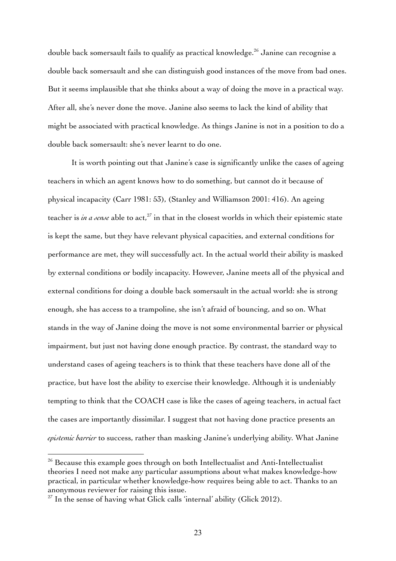double back somersault fails to qualify as practical knowledge.<sup>26</sup> Janine can recognise a double back somersault and she can distinguish good instances of the move from bad ones. But it seems implausible that she thinks about a way of doing the move in a practical way. After all, she's never done the move. Janine also seems to lack the kind of ability that might be associated with practical knowledge. As things Janine is not in a position to do a double back somersault: she's never learnt to do one.

It is worth pointing out that Janine's case is significantly unlike the cases of ageing teachers in which an agent knows how to do something, but cannot do it because of physical incapacity (Carr 1981: 53), (Stanley and Williamson 2001: 416). An ageing teacher is *in a sense* able to act,<sup>27</sup> in that in the closest worlds in which their epistemic state is kept the same, but they have relevant physical capacities, and external conditions for performance are met, they will successfully act. In the actual world their ability is masked by external conditions or bodily incapacity. However, Janine meets all of the physical and external conditions for doing a double back somersault in the actual world: she is strong enough, she has access to a trampoline, she isn't afraid of bouncing, and so on. What stands in the way of Janine doing the move is not some environmental barrier or physical impairment, but just not having done enough practice. By contrast, the standard way to understand cases of ageing teachers is to think that these teachers have done all of the practice, but have lost the ability to exercise their knowledge. Although it is undeniably tempting to think that the COACH case is like the cases of ageing teachers, in actual fact the cases are importantly dissimilar. I suggest that not having done practice presents an *epistemic barrier* to success, rather than masking Janine's underlying ability. What Janine

 $26$  Because this example goes through on both Intellectualist and Anti-Intellectualist theories I need not make any particular assumptions about what makes knowledge-how practical, in particular whether knowledge-how requires being able to act. Thanks to an anonymous reviewer for raising this issue.

 $27$  In the sense of having what Glick calls 'internal' ability (Glick 2012).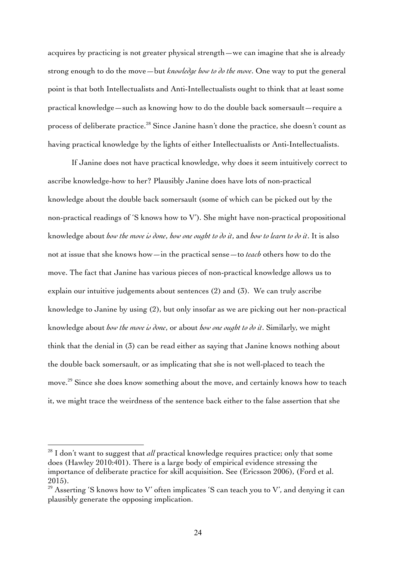acquires by practicing is not greater physical strength—we can imagine that she is already strong enough to do the move—but *knowledge how to do the move*. One way to put the general point is that both Intellectualists and Anti-Intellectualists ought to think that at least some practical knowledge—such as knowing how to do the double back somersault—require a process of deliberate practice.<sup>28</sup> Since Janine hasn't done the practice, she doesn't count as having practical knowledge by the lights of either Intellectualists or Anti-Intellectualists.

If Janine does not have practical knowledge, why does it seem intuitively correct to ascribe knowledge-how to her? Plausibly Janine does have lots of non-practical knowledge about the double back somersault (some of which can be picked out by the non-practical readings of 'S knows how to V'). She might have non-practical propositional knowledge about *how the move is done*, *how one ought to do it*, and *how to learn to do it*. It is also not at issue that she knows how—in the practical sense—to *teach* others how to do the move. The fact that Janine has various pieces of non-practical knowledge allows us to explain our intuitive judgements about sentences (2) and (3). We can truly ascribe knowledge to Janine by using (2), but only insofar as we are picking out her non-practical knowledge about *how the move is done*, or about *how one ought to do it*. Similarly, we might think that the denial in (3) can be read either as saying that Janine knows nothing about the double back somersault, or as implicating that she is not well-placed to teach the move. <sup>29</sup> Since she does know something about the move, and certainly knows how to teach it, we might trace the weirdness of the sentence back either to the false assertion that she

<sup>&</sup>lt;sup>28</sup> I don't want to suggest that *all* practical knowledge requires practice; only that some does (Hawley 2010:401). There is a large body of empirical evidence stressing the importance of deliberate practice for skill acquisition. See (Ericsson 2006), (Ford et al. 2015).

 $29$  Asserting 'S knows how to V' often implicates 'S can teach you to V', and denying it can plausibly generate the opposing implication.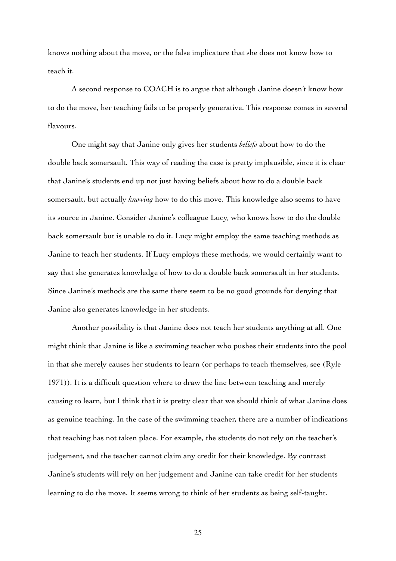knows nothing about the move, or the false implicature that she does not know how to teach it.

A second response to COACH is to argue that although Janine doesn't know how to do the move, her teaching fails to be properly generative. This response comes in several flavours.

One might say that Janine only gives her students *beliefs* about how to do the double back somersault. This way of reading the case is pretty implausible, since it is clear that Janine's students end up not just having beliefs about how to do a double back somersault, but actually *knowing* how to do this move. This knowledge also seems to have its source in Janine. Consider Janine's colleague Lucy, who knows how to do the double back somersault but is unable to do it. Lucy might employ the same teaching methods as Janine to teach her students. If Lucy employs these methods, we would certainly want to say that she generates knowledge of how to do a double back somersault in her students. Since Janine's methods are the same there seem to be no good grounds for denying that Janine also generates knowledge in her students.

Another possibility is that Janine does not teach her students anything at all. One might think that Janine is like a swimming teacher who pushes their students into the pool in that she merely causes her students to learn (or perhaps to teach themselves, see (Ryle 1971)). It is a difficult question where to draw the line between teaching and merely causing to learn, but I think that it is pretty clear that we should think of what Janine does as genuine teaching. In the case of the swimming teacher, there are a number of indications that teaching has not taken place. For example, the students do not rely on the teacher's judgement, and the teacher cannot claim any credit for their knowledge. By contrast Janine's students will rely on her judgement and Janine can take credit for her students learning to do the move. It seems wrong to think of her students as being self-taught.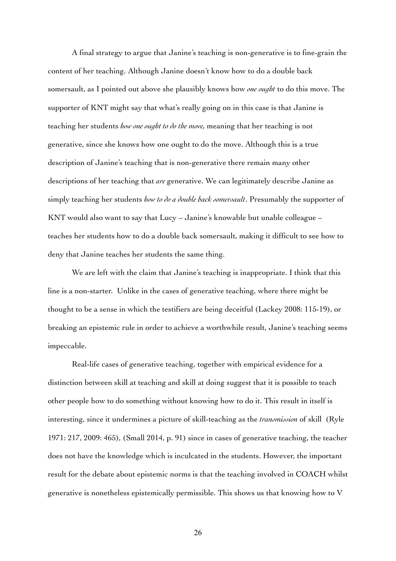A final strategy to argue that Janine's teaching is non-generative is to fine-grain the content of her teaching. Although Janine doesn't know how to do a double back somersault, as I pointed out above she plausibly knows how *one ought* to do this move. The supporter of KNT might say that what's really going on in this case is that Janine is teaching her students *how one ought to do the move,* meaning that her teaching is not generative, since she knows how one ought to do the move. Although this is a true description of Janine's teaching that is non-generative there remain many other descriptions of her teaching that *are* generative. We can legitimately describe Janine as simply teaching her students *how to do a double back somersault*. Presumably the supporter of KNT would also want to say that Lucy – Janine's knowable but unable colleague – teaches her students how to do a double back somersault, making it difficult to see how to deny that Janine teaches her students the same thing.

We are left with the claim that Janine's teaching is inappropriate. I think that this line is a non-starter. Unlike in the cases of generative teaching, where there might be thought to be a sense in which the testifiers are being deceitful (Lackey 2008: 115-19), or breaking an epistemic rule in order to achieve a worthwhile result, Janine's teaching seems impeccable.

Real-life cases of generative teaching, together with empirical evidence for a distinction between skill at teaching and skill at doing suggest that it is possible to teach other people how to do something without knowing how to do it. This result in itself is interesting, since it undermines a picture of skill-teaching as the *transmission* of skill (Ryle 1971: 217, 2009: 465), (Small 2014, p. 91) since in cases of generative teaching, the teacher does not have the knowledge which is inculcated in the students. However, the important result for the debate about epistemic norms is that the teaching involved in COACH whilst generative is nonetheless epistemically permissible. This shows us that knowing how to V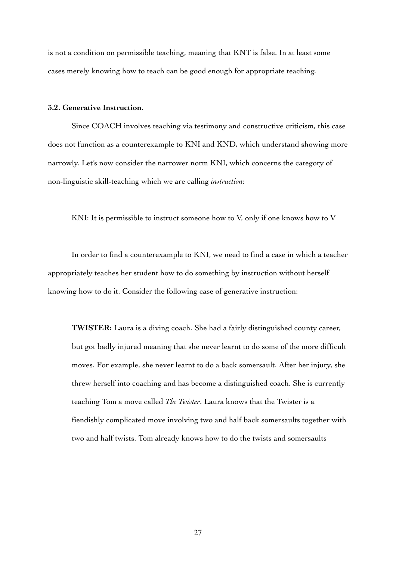is not a condition on permissible teaching, meaning that KNT is false. In at least some cases merely knowing how to teach can be good enough for appropriate teaching*.*

## **3.2. Generative Instruction**.

Since COACH involves teaching via testimony and constructive criticism, this case does not function as a counterexample to KNI and KND, which understand showing more narrowly. Let's now consider the narrower norm KNI, which concerns the category of non-linguistic skill-teaching which we are calling *instruction*:

KNI: It is permissible to instruct someone how to V, only if one knows how to V

In order to find a counterexample to KNI, we need to find a case in which a teacher appropriately teaches her student how to do something by instruction without herself knowing how to do it. Consider the following case of generative instruction:

**TWISTER:** Laura is a diving coach. She had a fairly distinguished county career, but got badly injured meaning that she never learnt to do some of the more difficult moves. For example, she never learnt to do a back somersault. After her injury, she threw herself into coaching and has become a distinguished coach. She is currently teaching Tom a move called *The Twister*. Laura knows that the Twister is a fiendishly complicated move involving two and half back somersaults together with two and half twists. Tom already knows how to do the twists and somersaults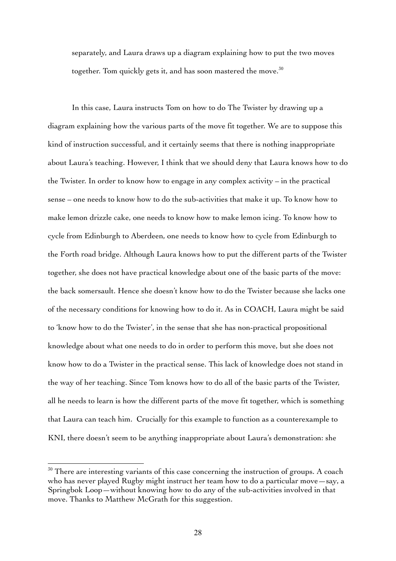separately, and Laura draws up a diagram explaining how to put the two moves together. Tom quickly gets it, and has soon mastered the move. $^{30}$ 

In this case, Laura instructs Tom on how to do The Twister by drawing up a diagram explaining how the various parts of the move fit together. We are to suppose this kind of instruction successful, and it certainly seems that there is nothing inappropriate about Laura's teaching. However, I think that we should deny that Laura knows how to do the Twister. In order to know how to engage in any complex activity – in the practical sense – one needs to know how to do the sub-activities that make it up. To know how to make lemon drizzle cake, one needs to know how to make lemon icing. To know how to cycle from Edinburgh to Aberdeen, one needs to know how to cycle from Edinburgh to the Forth road bridge. Although Laura knows how to put the different parts of the Twister together, she does not have practical knowledge about one of the basic parts of the move: the back somersault. Hence she doesn't know how to do the Twister because she lacks one of the necessary conditions for knowing how to do it. As in COACH, Laura might be said to 'know how to do the Twister', in the sense that she has non-practical propositional knowledge about what one needs to do in order to perform this move, but she does not know how to do a Twister in the practical sense. This lack of knowledge does not stand in the way of her teaching. Since Tom knows how to do all of the basic parts of the Twister, all he needs to learn is how the different parts of the move fit together, which is something that Laura can teach him. Crucially for this example to function as a counterexample to KNI, there doesn't seem to be anything inappropriate about Laura's demonstration: she

 $30$  There are interesting variants of this case concerning the instruction of groups. A coach who has never played Rugby might instruct her team how to do a particular move—say, a Springbok Loop—without knowing how to do any of the sub-activities involved in that move. Thanks to Matthew McGrath for this suggestion.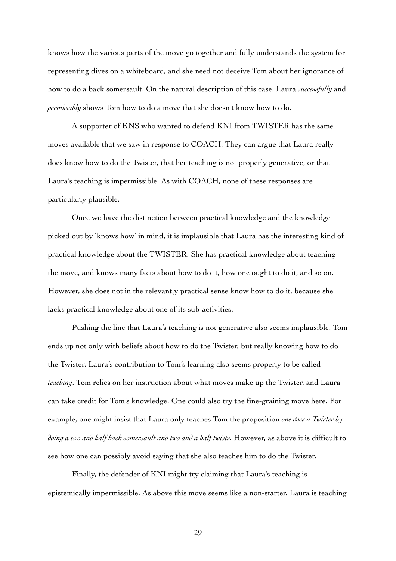knows how the various parts of the move go together and fully understands the system for representing dives on a whiteboard, and she need not deceive Tom about her ignorance of how to do a back somersault. On the natural description of this case, Laura *successfully* and *permissibly* shows Tom how to do a move that she doesn't know how to do.

A supporter of KNS who wanted to defend KNI from TWISTER has the same moves available that we saw in response to COACH. They can argue that Laura really does know how to do the Twister, that her teaching is not properly generative, or that Laura's teaching is impermissible. As with COACH, none of these responses are particularly plausible.

Once we have the distinction between practical knowledge and the knowledge picked out by 'knows how' in mind, it is implausible that Laura has the interesting kind of practical knowledge about the TWISTER. She has practical knowledge about teaching the move, and knows many facts about how to do it, how one ought to do it, and so on. However, she does not in the relevantly practical sense know how to do it, because she lacks practical knowledge about one of its sub-activities.

Pushing the line that Laura's teaching is not generative also seems implausible. Tom ends up not only with beliefs about how to do the Twister, but really knowing how to do the Twister. Laura's contribution to Tom's learning also seems properly to be called *teaching*. Tom relies on her instruction about what moves make up the Twister, and Laura can take credit for Tom's knowledge. One could also try the fine-graining move here. For example, one might insist that Laura only teaches Tom the proposition *one does a Twister by doing a two and half back somersault and two and a half twists.* However, as above it is difficult to see how one can possibly avoid saying that she also teaches him to do the Twister.

Finally, the defender of KNI might try claiming that Laura's teaching is epistemically impermissible. As above this move seems like a non-starter. Laura is teaching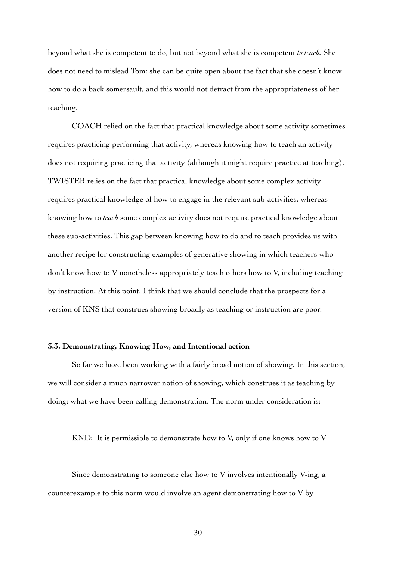beyond what she is competent to do, but not beyond what she is competent *to teach.* She does not need to mislead Tom: she can be quite open about the fact that she doesn't know how to do a back somersault, and this would not detract from the appropriateness of her teaching.

COACH relied on the fact that practical knowledge about some activity sometimes requires practicing performing that activity, whereas knowing how to teach an activity does not requiring practicing that activity (although it might require practice at teaching). TWISTER relies on the fact that practical knowledge about some complex activity requires practical knowledge of how to engage in the relevant sub-activities, whereas knowing how to *teach* some complex activity does not require practical knowledge about these sub-activities. This gap between knowing how to do and to teach provides us with another recipe for constructing examples of generative showing in which teachers who don't know how to V nonetheless appropriately teach others how to V, including teaching by instruction. At this point, I think that we should conclude that the prospects for a version of KNS that construes showing broadly as teaching or instruction are poor.

## **3.3. Demonstrating, Knowing How, and Intentional action**

So far we have been working with a fairly broad notion of showing. In this section, we will consider a much narrower notion of showing, which construes it as teaching by doing: what we have been calling demonstration. The norm under consideration is:

KND: It is permissible to demonstrate how to V, only if one knows how to V

Since demonstrating to someone else how to V involves intentionally V-ing, a counterexample to this norm would involve an agent demonstrating how to V by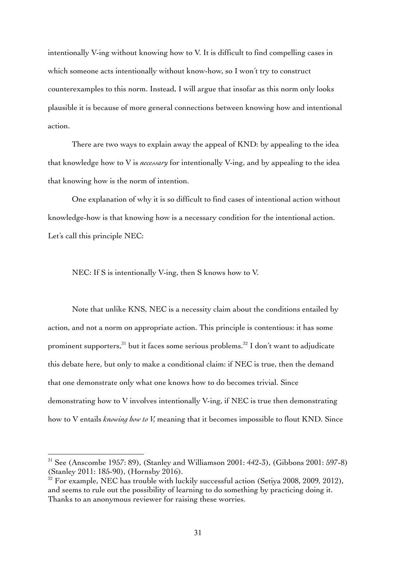intentionally V-ing without knowing how to V. It is difficult to find compelling cases in which someone acts intentionally without know-how, so I won't try to construct counterexamples to this norm. Instead, I will argue that insofar as this norm only looks plausible it is because of more general connections between knowing how and intentional action.

There are two ways to explain away the appeal of KND: by appealing to the idea that knowledge how to V is *necessary* for intentionally V-ing, and by appealing to the idea that knowing how is the norm of intention.

One explanation of why it is so difficult to find cases of intentional action without knowledge-how is that knowing how is a necessary condition for the intentional action. Let's call this principle NEC:

NEC: If S is intentionally V-ing, then S knows how to V.

Note that unlike KNS, NEC is a necessity claim about the conditions entailed by action, and not a norm on appropriate action. This principle is contentious: it has some prominent supporters,  $31$  but it faces some serious problems.  $32$  I don't want to adjudicate this debate here, but only to make a conditional claim: if NEC is true, then the demand that one demonstrate only what one knows how to do becomes trivial. Since demonstrating how to V involves intentionally V-ing, if NEC is true then demonstrating how to V entails *knowing how to V,* meaning that it becomes impossible to flout KND. Since

 $31$  See (Anscombe 1957: 89), (Stanley and Williamson 2001: 442-3), (Gibbons 2001: 597-8) (Stanley 2011: 185-90), (Hornsby 2016).

 $32$  For example, NEC has trouble with luckily successful action (Setiya 2008, 2009, 2012), and seems to rule out the possibility of learning to do something by practicing doing it. Thanks to an anonymous reviewer for raising these worries.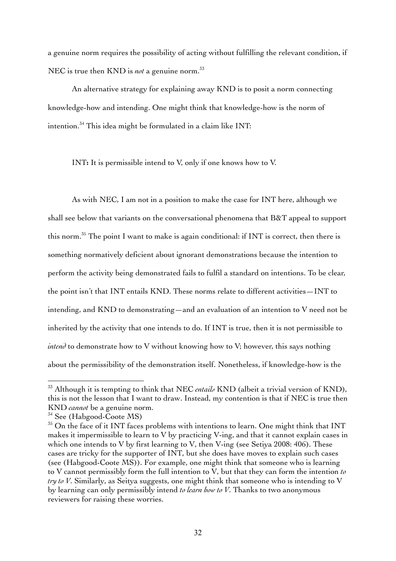a genuine norm requires the possibility of acting without fulfilling the relevant condition, if NEC is true then KND is *not* a genuine norm. 33

An alternative strategy for explaining away KND is to posit a norm connecting knowledge-how and intending. One might think that knowledge-how is the norm of intention.34 This idea might be formulated in a claim like INT:

INT**:** It is permissible intend to V, only if one knows how to V.

As with NEC, I am not in a position to make the case for INT here, although we shall see below that variants on the conversational phenomena that B&T appeal to support this norm. <sup>35</sup> The point I want to make is again conditional: if INT is correct, then there is something normatively deficient about ignorant demonstrations because the intention to perform the activity being demonstrated fails to fulfil a standard on intentions. To be clear, the point isn't that INT entails KND. These norms relate to different activities—INT to intending, and KND to demonstrating—and an evaluation of an intention to V need not be inherited by the activity that one intends to do. If INT is true, then it is not permissible to *intend* to demonstrate how to V without knowing how to V; however, this says nothing about the permissibility of the demonstration itself. Nonetheless, if knowledge-how is the

<sup>33</sup> Although it is tempting to think that NEC *entails* KND (albeit a trivial version of KND), this is not the lesson that I want to draw. Instead, my contention is that if NEC is true then KND *cannot* be a genuine norm.

<sup>&</sup>lt;sup>34</sup> See (Habgood-Coote MS)

<sup>&</sup>lt;sup>35</sup> On the face of it INT faces problems with intentions to learn. One might think that INT makes it impermissible to learn to V by practicing V-ing, and that it cannot explain cases in which one intends to V by first learning to V, then V-ing (see Setiya 2008: 406). These cases are tricky for the supporter of INT, but she does have moves to explain such cases (see (Habgood-Coote MS)). For example, one might think that someone who is learning to V cannot permissibly form the full intention to V, but that they can form the intention *to try to V*. Similarly, as Seitya suggests, one might think that someone who is intending to V by learning can only permissibly intend *to learn how to V*. Thanks to two anonymous reviewers for raising these worries.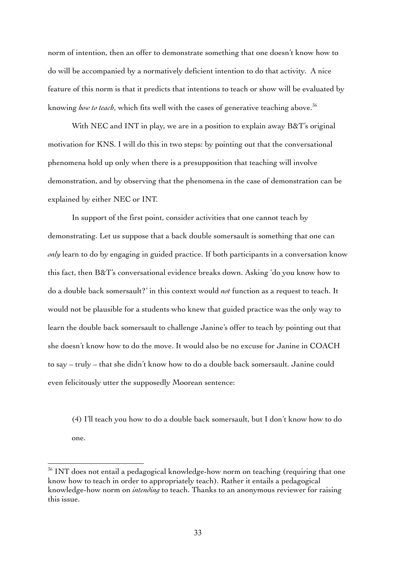norm of intention, then an offer to demonstrate something that one doesn't know how to do will be accompanied by a normatively deficient intention to do that activity. A nice feature of this norm is that it predicts that intentions to teach or show will be evaluated by knowing *how to teach*, which fits well with the cases of generative teaching above.<sup>36</sup>

With NEC and INT in play, we are in a position to explain away B&T's original motivation for KNS. I will do this in two steps: by pointing out that the conversational phenomena hold up only when there is a presupposition that teaching will involve demonstration, and by observing that the phenomena in the case of demonstration can be explained by either NEC or INT.

In support of the first point, consider activities that one cannot teach by demonstrating. Let us suppose that a back double somersault is something that one can *only* learn to do by engaging in guided practice. If both participants in a conversation know this fact, then B&T's conversational evidence breaks down. Asking 'do you know how to do a double back somersault?' in this context would *not* function as a request to teach. It would not be plausible for a students who knew that guided practice was the only way to learn the double back somersault to challenge Janine's offer to teach by pointing out that she doesn't know how to do the move. It would also be no excuse for Janine in COACH to say – truly – that she didn't know how to do a double back somersault. Janine could even felicitously utter the supposedly Moorean sentence:

(4) I'll teach you how to do a double back somersault, but I don't know how to do one.

<sup>&</sup>lt;sup>36</sup> INT does not entail a pedagogical knowledge-how norm on teaching (requiring that one know how to teach in order to appropriately teach). Rather it entails a pedagogical knowledge-how norm on *intending* to teach. Thanks to an anonymous reviewer for raising this issue.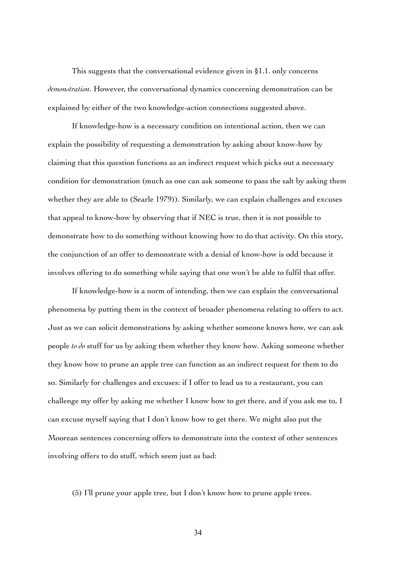This suggests that the conversational evidence given in §1.1. only concerns *demonstration*. However, the conversational dynamics concerning demonstration can be explained by either of the two knowledge-action connections suggested above.

If knowledge-how is a necessary condition on intentional action, then we can explain the possibility of requesting a demonstration by asking about know-how by claiming that this question functions as an indirect request which picks out a necessary condition for demonstration (much as one can ask someone to pass the salt by asking them whether they are able to (Searle 1979)). Similarly, we can explain challenges and excuses that appeal to know-how by observing that if NEC is true, then it is not possible to demonstrate how to do something without knowing how to do that activity. On this story, the conjunction of an offer to demonstrate with a denial of know-how is odd because it involves offering to do something while saying that one won't be able to fulfil that offer.

If knowledge-how is a norm of intending, then we can explain the conversational phenomena by putting them in the context of broader phenomena relating to offers to act. Just as we can solicit demonstrations by asking whether someone knows how, we can ask people *to do* stuff for us by asking them whether they know how. Asking someone whether they know how to prune an apple tree can function as an indirect request for them to do so. Similarly for challenges and excuses: if I offer to lead us to a restaurant, you can challenge my offer by asking me whether I know how to get there, and if you ask me to, I can excuse myself saying that I don't know how to get there. We might also put the Moorean sentences concerning offers to demonstrate into the context of other sentences involving offers to do stuff, which seem just as bad:

(5) I'll prune your apple tree, but I don't know how to prune apple trees.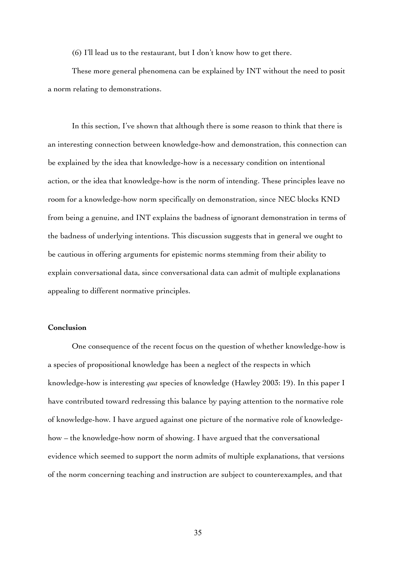(6) I'll lead us to the restaurant, but I don't know how to get there.

These more general phenomena can be explained by INT without the need to posit a norm relating to demonstrations.

In this section, I've shown that although there is some reason to think that there is an interesting connection between knowledge-how and demonstration, this connection can be explained by the idea that knowledge-how is a necessary condition on intentional action, or the idea that knowledge-how is the norm of intending. These principles leave no room for a knowledge-how norm specifically on demonstration, since NEC blocks KND from being a genuine, and INT explains the badness of ignorant demonstration in terms of the badness of underlying intentions. This discussion suggests that in general we ought to be cautious in offering arguments for epistemic norms stemming from their ability to explain conversational data, since conversational data can admit of multiple explanations appealing to different normative principles.

# **Conclusion**

One consequence of the recent focus on the question of whether knowledge-how is a species of propositional knowledge has been a neglect of the respects in which knowledge-how is interesting *qua* species of knowledge (Hawley 2003: 19). In this paper I have contributed toward redressing this balance by paying attention to the normative role of knowledge-how. I have argued against one picture of the normative role of knowledgehow – the knowledge-how norm of showing. I have argued that the conversational evidence which seemed to support the norm admits of multiple explanations, that versions of the norm concerning teaching and instruction are subject to counterexamples, and that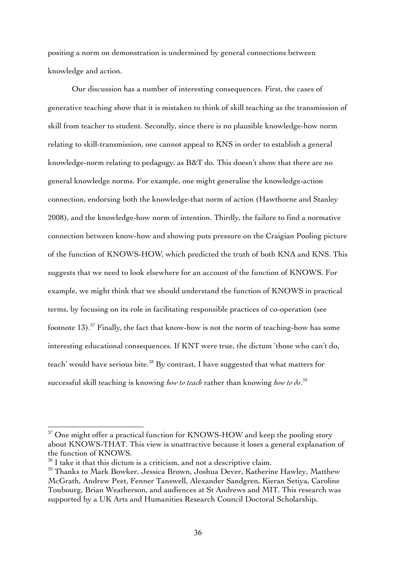positing a norm on demonstration is undermined by general connections between knowledge and action.

Our discussion has a number of interesting consequences. First, the cases of generative teaching show that it is mistaken to think of skill teaching as the transmission of skill from teacher to student. Secondly, since there is no plausible knowledge-how norm relating to skill-transmission, one cannot appeal to KNS in order to establish a general knowledge-norm relating to pedagogy, as B&T do. This doesn't show that there are no general knowledge norms. For example, one might generalise the knowledge-action connection, endorsing both the knowledge-that norm of action (Hawthorne and Stanley 2008), and the knowledge-how norm of intention. Thirdly, the failure to find a normative connection between know-how and showing puts pressure on the Craigian Pooling picture of the function of KNOWS-HOW, which predicted the truth of both KNA and KNS. This suggests that we need to look elsewhere for an account of the function of KNOWS. For example, we might think that we should understand the function of KNOWS in practical terms, by focusing on its role in facilitating responsible practices of co-operation (see footnote 13).<sup>37</sup> Finally, the fact that know-how is not the norm of teaching-how has some interesting educational consequences. If KNT were true, the dictum 'those who can't do, teach' would have serious bite.<sup>38</sup> By contrast, I have suggested that what matters for successful skill teaching is knowing *how to teach* rather than knowing *how to do*. 39

 $37$  One might offer a practical function for KNOWS-HOW and keep the pooling story about KNOWS-THAT. This view is unattractive because it loses a general explanation of the function of KNOWS.

 $38$  I take it that this dictum is a criticism, and not a descriptive claim.

<sup>&</sup>lt;sup>39</sup> Thanks to Mark Bowker, Jessica Brown, Joshua Dever, Katherine Hawley, Matthew McGrath, Andrew Peet, Fenner Tanswell, Alexander Sandgren, Kieran Setiya, Caroline Toubourg, Brian Weatherson, and audiences at St Andrews and MIT. This research was supported by a UK Arts and Humanities Research Council Doctoral Scholarship.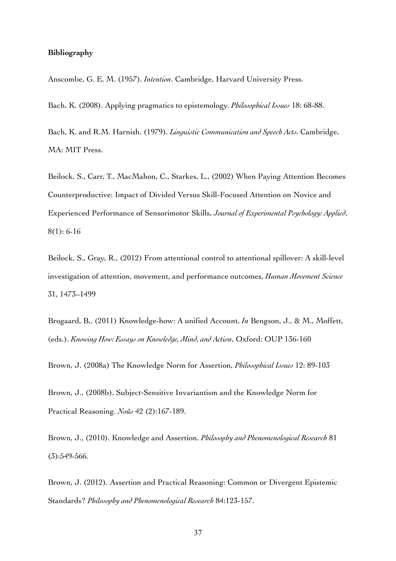## **Bibliography**

Anscombe, G. E. M. (1957). *Intention*. Cambridge, Harvard University Press.

Bach, K. (2008). Applying pragmatics to epistemology. *Philosophical Issues* 18: 68-88.

Bach, K. and R.M. Harnish. (1979). *Linguistic Communication and Speech Acts.* Cambridge, MA: MIT Press.

Beilock, S., Carr, T., MacMahon, C., Starkes, L., (2002) When Paying Attention Becomes Counterproductive: Impact of Divided Versus Skill-Focused Attention on Novice and Experienced Performance of Sensorimotor Skills, *Journal of Experimental Psychology: Applied*, 8(1): 6-16

Beilock, S., Gray, R., (2012) From attentional control to attentional spillover: A skill-level investigation of attention, movement, and performance outcomes, *Human Movement Science* 31, 1473–1499

Brogaard, B,. (2011) Knowledge-how: A unified Account, *In* Bengson, J., & M., Moffett, (eds.). *Knowing How: Essays on Knowledge, Mind, and Action*, Oxford: OUP 136-160

Brown, J. (2008a) The Knowledge Norm for Assertion, *Philosophical Issues* 12: 89-103

Brown, J., (2008b). Subject-Sensitive Invariantism and the Knowledge Norm for Practical Reasoning. *Noûs* 42 (2):167-189.

Brown, J., (2010). Knowledge and Assertion. *Philosophy and Phenomenological Research* 81 (3):549-566.

Brown, J. (2012). Assertion and Practical Reasoning: Common or Divergent Epistemic Standards? *Philosophy and Phenomenological Research* 84:123-157.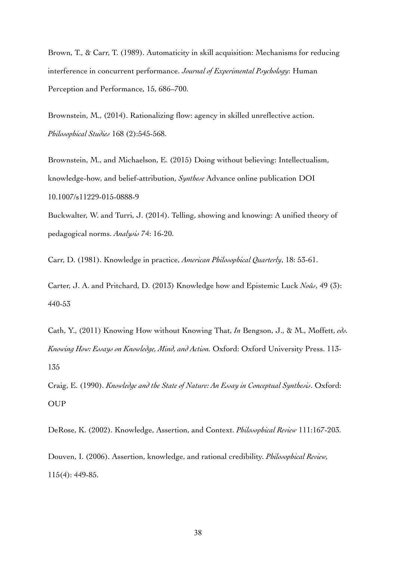Brown, T., & Carr, T. (1989). Automaticity in skill acquisition: Mechanisms for reducing interference in concurrent performance. *Journal of Experimental Psychology*: Human Perception and Performance, 15, 686–700.

Brownstein, M., (2014). Rationalizing flow: agency in skilled unreflective action. *Philosophical Studies* 168 (2):545-568.

Brownstein, M., and Michaelson, E. (2015) Doing without believing: Intellectualism, knowledge-how, and belief-attribution, *Synthese* Advance online publication DOI 10.1007/s11229-015-0888-9

Buckwalter, W. and Turri, J. (2014). Telling, showing and knowing: A unified theory of pedagogical norms. *Analysis* 74: 16-20.

Carr, D. (1981). Knowledge in practice, *American Philosophical Quarterly*, 18: 53-61.

Carter, J. A. and Pritchard, D. (2013) Knowledge how and Epistemic Luck *Noûs*, 49 (3): 440-53

Cath, Y., (2011) Knowing How without Knowing That, *In* Bengson, J., & M., Moffett, *eds. Knowing How: Essays on Knowledge, Mind, and Action.* Oxford: Oxford University Press. 113- 135

Craig, E. (1990). *Knowledge and the State of Nature: An Essay in Conceptual Synthesis*. Oxford: OUP

DeRose, K. (2002). Knowledge, Assertion, and Context. *Philosophical Review* 111:167-203.

Douven, I. (2006). Assertion, knowledge, and rational credibility. *Philosophical Review,* 115(4): 449-85.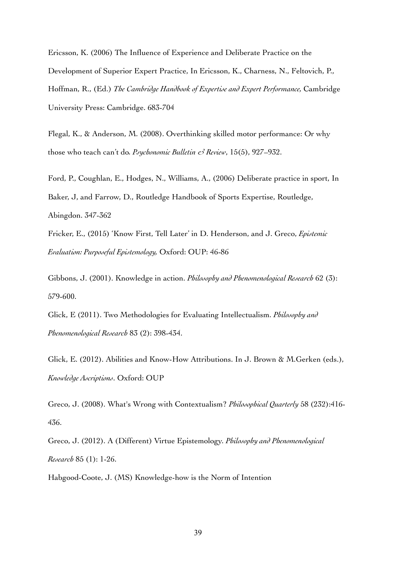Ericsson, K. (2006) The Influence of Experience and Deliberate Practice on the Development of Superior Expert Practice, In Ericsson, K., Charness, N., Feltovich, P., Hoffman, R., (Ed.) *The Cambridge Handbook of Expertise and Expert Performance,* Cambridge University Press: Cambridge. 683-704

Flegal, K., & Anderson, M. (2008). Overthinking skilled motor performance: Or why those who teach can't do*. Psychonomic Bulletin & Review*, 15(5), 927–932.

Ford, P., Coughlan, E., Hodges, N., Williams, A., (2006) Deliberate practice in sport, In Baker, J, and Farrow, D., Routledge Handbook of Sports Expertise, Routledge, Abingdon. 347-362

Fricker, E., (2015) 'Know First, Tell Later' in D. Henderson, and J. Greco, *Epistemic Evaluation: Purposeful Epistemology,* Oxford: OUP: 46-86

Gibbons, J. (2001). Knowledge in action. *Philosophy and Phenomenological Research* 62 (3): 579-600.

Glick, E (2011). Two Methodologies for Evaluating Intellectualism. *Philosophy and Phenomenological Research* 83 (2): 398-434.

Glick, E. (2012). Abilities and Know-How Attributions. In J. Brown & M.Gerken (eds.), *Knowledge Ascriptions*. Oxford: OUP

Greco, J. (2008). What's Wrong with Contextualism? *Philosophical Quarterly* 58 (232):416- 436.

Greco, J. (2012). A (Different) Virtue Epistemology. *Philosophy and Phenomenological Research* 85 (1): 1-26.

Habgood-Coote, J. (MS) Knowledge-how is the Norm of Intention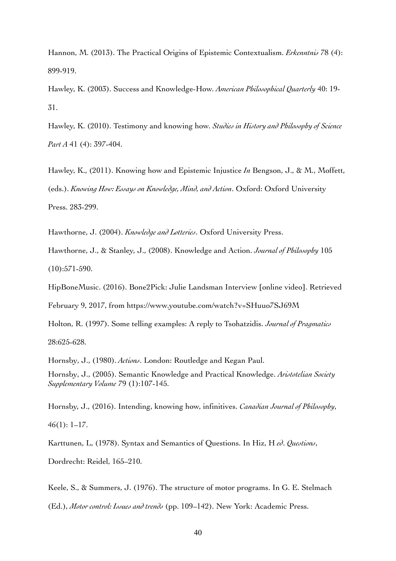Hannon, M. (2013). The Practical Origins of Epistemic Contextualism. *Erkenntnis* 78 (4): 899-919.

Hawley, K. (2003). Success and Knowledge-How. *American Philosophical Quarterly* 40: 19- 31.

Hawley, K. (2010). Testimony and knowing how. *Studies in History and Philosophy of Science Part A* 41 (4): 397-404.

Hawley, K., (2011). Knowing how and Epistemic Injustice *In* Bengson, J., & M., Moffett, (eds.). *Knowing How: Essays on Knowledge, Mind, and Action*. Oxford: Oxford University Press. 283-299.

Hawthorne, J. (2004). *Knowledge and Lotteries*. Oxford University Press.

Hawthorne, J., & Stanley, J., (2008). Knowledge and Action. *Journal of Philosophy* 105 (10):571-590.

HipBoneMusic. (2016). Bone2Pick: Julie Landsman Interview [online video]. Retrieved

February 9, 2017, from https://www.youtube.com/watch?v=SHuuo7SJ69M

Holton, R. (1997). Some telling examples: A reply to Tsohatzidis. *Journal of Pragmatics* 28:625-628.

Hornsby, J., (1980). *Actions*. London: Routledge and Kegan Paul. Hornsby, J., (2005). Semantic Knowledge and Practical Knowledge. *Aristotelian Society Supplementary Volume* 79 (1):107-145.

Hornsby, J., (2016). Intending, knowing how, infinitives. *Canadian Journal of Philosophy*, 46(1): 1–17.

Karttunen, L, (1978). Syntax and Semantics of Questions. In Hiz, H *ed*. *Questions*, Dordrecht: Reidel, 165–210.

Keele, S., & Summers, J. (1976). The structure of motor programs. In G. E. Stelmach (Ed.), *Motor control: Issues and trends* (pp. 109–142). New York: Academic Press.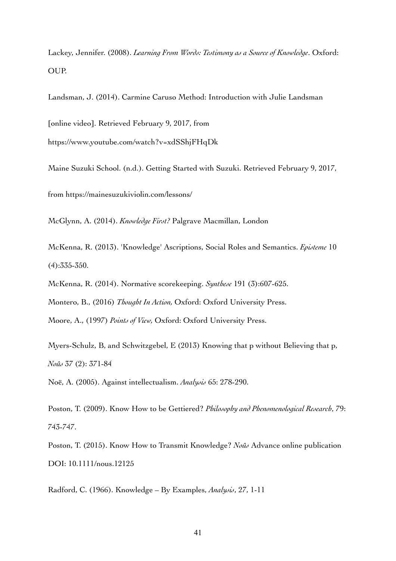Lackey, Jennifer. (2008). *Learning From Words: Testimony as a Source of Knowledge*. Oxford: OUP.

Landsman, J. (2014). Carmine Caruso Method: Introduction with Julie Landsman

[online video]. Retrieved February 9, 2017, from https://www.youtube.com/watch?v=xdSShjFHqDk

Maine Suzuki School. (n.d.). Getting Started with Suzuki. Retrieved February 9, 2017, from https://mainesuzukiviolin.com/lessons/

McGlynn, A. (2014). *Knowledge First?* Palgrave Macmillan, London

McKenna, R. (2013). 'Knowledge' Ascriptions, Social Roles and Semantics. *Episteme* 10 (4):335-350.

McKenna, R. (2014). Normative scorekeeping. *Synthese* 191 (3):607-625.

Montero, B., (2016) *Thought In Action,* Oxford: Oxford University Press.

Moore, A., (1997) *Points of View,* Oxford: Oxford University Press.

Myers-Schulz, B, and Schwitzgebel, E (2013) Knowing that p without Believing that p, *Noûs* 37 (2): 371-84

Noë, A. (2005). Against intellectualism. *Analysis* 65: 278-290.

Poston, T. (2009). Know How to be Gettiered? *Philosophy and Phenomenological Research*, 79: 743-747.

Poston, T. (2015). Know How to Transmit Knowledge? *Noûs* Advance online publication DOI: 10.1111/nous.12125

Radford, C. (1966). Knowledge – By Examples, *Analysis*, 27, 1-11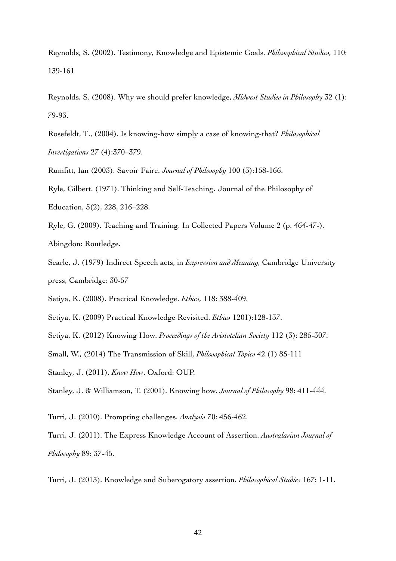Reynolds, S. (2002). Testimony, Knowledge and Epistemic Goals, *Philosophical Studies,* 110: 139-161

Reynolds, S. (2008). Why we should prefer knowledge, *Midwest Studies in Philosophy* 32 (1): 79-93.

Rosefeldt, T., (2004). Is knowing-how simply a case of knowing-that? *Philosophical Investigations* 27 (4):370–379.

Rumfitt, Ian (2003). Savoir Faire. *Journal of Philosophy* 100 (3):158-166.

Ryle, Gilbert. (1971). Thinking and Self-Teaching. Journal of the Philosophy of Education, 5(2), 228, 216–228.

Ryle, G. (2009). Teaching and Training. In Collected Papers Volume 2 (p. 464-47-). Abingdon: Routledge.

Searle, J. (1979) Indirect Speech acts, in *Expression and Meaning,* Cambridge University press, Cambridge: 30-57

Setiya, K. (2008). Practical Knowledge. *Ethics,* 118: 388-409.

Setiya, K. (2009) Practical Knowledge Revisited. *Ethics* 1201):128-137.

Setiya, K. (2012) Knowing How. *Proceedings of the Aristotelian Society* 112 (3): 285-307.

Small, W., (2014) The Transmission of Skill, *Philosophical Topics* 42 (1) 85-111

Stanley, J. (2011). *Know How*. Oxford: OUP.

Stanley, J. & Williamson, T. (2001). Knowing how. *Journal of Philosophy* 98: 411-444.

Turri, J. (2010). Prompting challenges. *Analysis* 70: 456-462.

Turri, J. (2011). The Express Knowledge Account of Assertion. *Australasian Journal of Philosophy* 89: 37-45.

Turri, J. (2013). Knowledge and Suberogatory assertion. *Philosophical Studies* 167: 1-11.